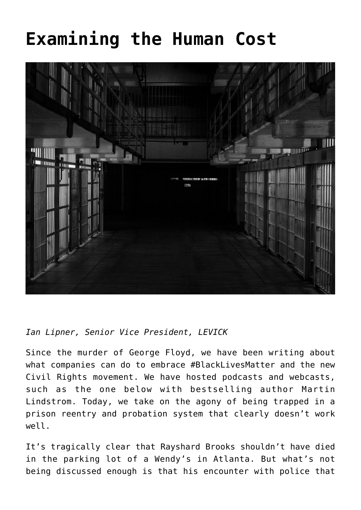## **[Examining the Human Cost](https://www.commpro.biz/examining-the-human-cost/)**



## *[Ian Lipner,](https://levick.com/about/ian-lipner/) Senior Vice President, [LEVICK](https://levick.com/)*

Since the murder of George Floyd, we have been writing about what companies can do to embrace #BlackLivesMatter and the new Civil Rights movement. We have hosted podcasts and webcasts, such as the one below with bestselling author Martin Lindstrom. Today, we take on the agony of being trapped in a prison reentry and probation system that clearly doesn't work well.

It's tragically clear that Rayshard Brooks shouldn't have died in the parking lot of a Wendy's in Atlanta. But what's not being discussed enough is that his encounter with police that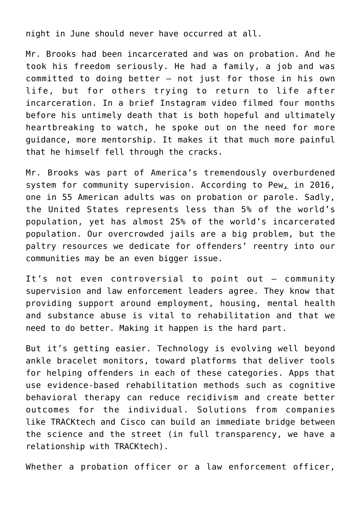night in June should never have occurred at all.

Mr. Brooks had been incarcerated and was on probation. And he took his freedom seriously. He had a family, a job and was committed to doing better – not just for those in his own life, but for others trying to return to life after incarceration. In a brief Instagram video filmed four months before his untimely death that is both hopeful and ultimately heartbreaking to watch, [he spoke out on the need for more](https://www.instagram.com/tv/CBjmu6cIT2h/?igshid=s81t0wx9vfyh) [guidance, more mentorship.](https://www.instagram.com/tv/CBjmu6cIT2h/?igshid=s81t0wx9vfyh) It makes it that much more painful that he himself fell through the cracks.

Mr. Brooks was part of America's tremendously overburdened system for community supervision. According to [Pew](https://www.pewtrusts.org/en/research-and-analysis/issue-briefs/2018/09/probation-and-parole-systems-marked-by-high-stakes-missed-opportunities), in 2016, one in 55 American adults was on probation or parole. Sadly, the United States represents less than 5% of the world's population, yet has almost 25% of the world's incarcerated population. Our overcrowded jails are a big problem, but the paltry resources we dedicate for offenders' reentry into our communities may be an even bigger issue.

It's not even controversial to point out – community supervision and law enforcement leaders agree. They know that providing support around employment, housing, mental health and substance abuse is vital to rehabilitation and that we need to do better. Making it happen is the hard part.

But it's getting easier. Technology is evolving well beyond ankle bracelet monitors, toward platforms that deliver tools for helping offenders in each of these categories. Apps that use evidence-based rehabilitation methods such as cognitive behavioral therapy can reduce recidivism and create better outcomes for the individual. Solutions from companies like [TRACKtech](https://tracktechllc.com/) and [Cisco](https://www.cisco.com/c/en/us/solutions/industries/government/us-government-solutions-services/judicial-corrections.html) can build an immediate bridge between the science and the street (in full transparency, we have a relationship with TRACKtech).

Whether a probation officer or a law enforcement officer,